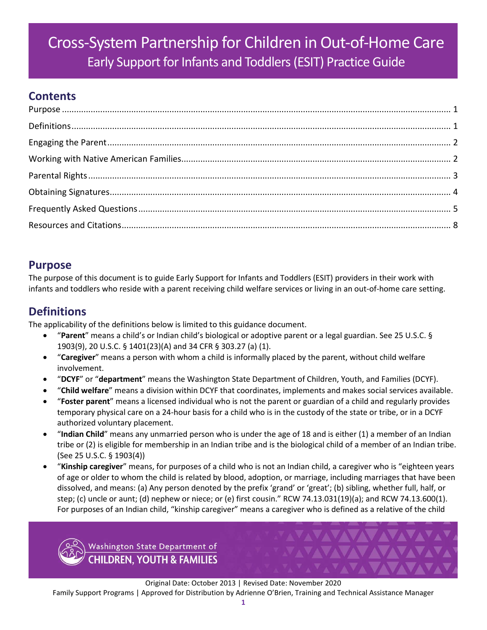# Cross-System Partnership for Children in Out-of-Home Care Early Support for Infants and Toddlers (ESIT) Practice Guide

# **Contents**

# <span id="page-0-0"></span>**Purpose**

The purpose of this document is to guide Early Support for Infants and Toddlers (ESIT) providers in their work with infants and toddlers who reside with a parent receiving child welfare services or living in an out-of-home care setting.

# <span id="page-0-1"></span>**Definitions**

The applicability of the definitions below is limited to this guidance document.

- "**Parent**" means a child's or Indian child's biological or adoptive parent or a legal guardian. See 25 U.S.C. § 1903(9), 20 U.S.C. § 1401(23)(A) and 34 CFR § 303.27 (a) (1).
- "**Caregiver**" means a person with whom a child is informally placed by the parent, without child welfare involvement.
- "**DCYF**" or "**department**" means the Washington State Department of Children, Youth, and Families (DCYF).
- "**Child welfare**" means a division within DCYF that coordinates, implements and makes social services available.
- "**Foster parent**" means a licensed individual who is not the parent or guardian of a child and regularly provides temporary physical care on a 24-hour basis for a child who is in the custody of the state or tribe, or in a DCYF authorized voluntary placement.
- "**Indian Child**" means any unmarried person who is under the age of 18 and is either (1) a member of an Indian tribe or (2) is eligible for membership in an Indian tribe and is the biological child of a member of an Indian tribe. (See 25 U.S.C. § 1903(4))
- "**Kinship caregiver**" means, for purposes of a child who is not an Indian child, a caregiver who is "eighteen years of age or older to whom the child is related by blood, adoption, or marriage, including marriages that have been dissolved, and means: (a) Any person denoted by the prefix 'grand' or 'great'; (b) sibling, whether full, half, or step; (c) uncle or aunt; (d) nephew or niece; or (e) first cousin." RCW 74.13.031(19)(a); and RCW 74.13.600(1). For purposes of an Indian child, "kinship caregiver" means a caregiver who is defined as a relative of the child



Original Date: October 2013 | Revised Date: November 2020 Family Support Programs | Approved for Distribution by Adrienne O'Brien, Training and Technical Assistance Manager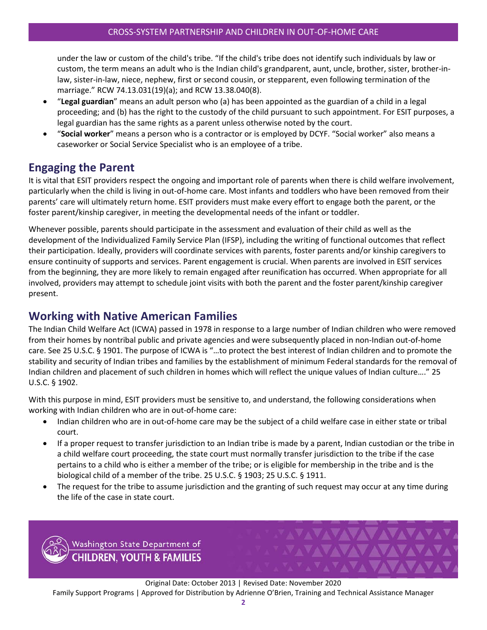under the law or custom of the child's tribe. "If the child's tribe does not identify such individuals by law or custom, the term means an adult who is the Indian child's grandparent, aunt, uncle, brother, sister, brother-inlaw, sister-in-law, niece, nephew, first or second cousin, or stepparent, even following termination of the marriage." RCW 74.13.031(19)(a); and RCW 13.38.040(8).

- "**Legal guardian**" means an adult person who (a) has been appointed as the guardian of a child in a legal proceeding; and (b) has the right to the custody of the child pursuant to such appointment. For ESIT purposes, a legal guardian has the same rights as a parent unless otherwise noted by the court.
- "**Social worker**" means a person who is a contractor or is employed by DCYF. "Social worker" also means a caseworker or Social Service Specialist who is an employee of a tribe.

# <span id="page-1-0"></span>**Engaging the Parent**

It is vital that ESIT providers respect the ongoing and important role of parents when there is child welfare involvement, particularly when the child is living in out-of-home care. Most infants and toddlers who have been removed from their parents' care will ultimately return home. ESIT providers must make every effort to engage both the parent, or the foster parent/kinship caregiver, in meeting the developmental needs of the infant or toddler.

Whenever possible, parents should participate in the assessment and evaluation of their child as well as the development of the Individualized Family Service Plan (IFSP), including the writing of functional outcomes that reflect their participation. Ideally, providers will coordinate services with parents, foster parents and/or kinship caregivers to ensure continuity of supports and services. Parent engagement is crucial. When parents are involved in ESIT services from the beginning, they are more likely to remain engaged after reunification has occurred. When appropriate for all involved, providers may attempt to schedule joint visits with both the parent and the foster parent/kinship caregiver present.

### <span id="page-1-1"></span>**Working with Native American Families**

The Indian Child Welfare Act (ICWA) passed in 1978 in response to a large number of Indian children who were removed from their homes by nontribal public and private agencies and were subsequently placed in non-Indian out-of-home care. See 25 U.S.C. § 1901. The purpose of ICWA is "…to protect the best interest of Indian children and to promote the stability and security of Indian tribes and families by the establishment of minimum Federal standards for the removal of Indian children and placement of such children in homes which will reflect the unique values of Indian culture…." 25 U.S.C. § 1902.

With this purpose in mind, ESIT providers must be sensitive to, and understand, the following considerations when working with Indian children who are in out-of-home care:

- Indian children who are in out-of-home care may be the subject of a child welfare case in either state or tribal court.
- If a proper request to transfer jurisdiction to an Indian tribe is made by a parent, Indian custodian or the tribe in a child welfare court proceeding, the state court must normally transfer jurisdiction to the tribe if the case pertains to a child who is either a member of the tribe; or is eligible for membership in the tribe and is the biological child of a member of the tribe. 25 U.S.C. § 1903; 25 U.S.C. § 1911.
- The request for the tribe to assume jurisdiction and the granting of such request may occur at any time during the life of the case in state court.

**AVAVAVAVAVAVA** 

**VAVAVAVAV** 

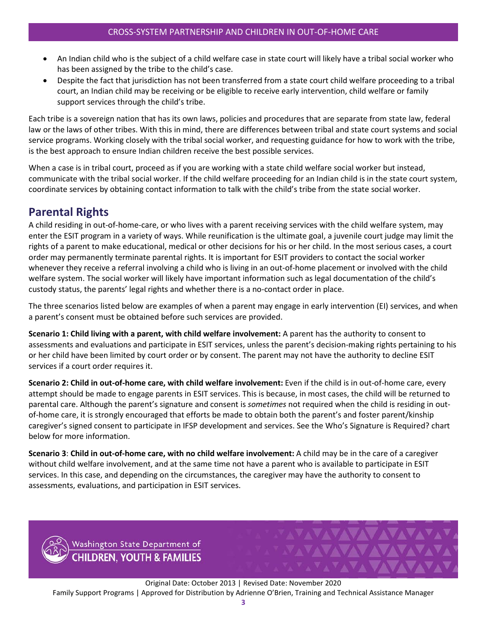- An Indian child who is the subject of a child welfare case in state court will likely have a tribal social worker who has been assigned by the tribe to the child's case.
- Despite the fact that jurisdiction has not been transferred from a state court child welfare proceeding to a tribal court, an Indian child may be receiving or be eligible to receive early intervention, child welfare or family support services through the child's tribe.

Each tribe is a sovereign nation that has its own laws, policies and procedures that are separate from state law, federal law or the laws of other tribes. With this in mind, there are differences between tribal and state court systems and social service programs. Working closely with the tribal social worker, and requesting guidance for how to work with the tribe, is the best approach to ensure Indian children receive the best possible services.

When a case is in tribal court, proceed as if you are working with a state child welfare social worker but instead, communicate with the tribal social worker. If the child welfare proceeding for an Indian child is in the state court system, coordinate services by obtaining contact information to talk with the child's tribe from the state social worker.

### <span id="page-2-0"></span>**Parental Rights**

A child residing in out-of-home-care, or who lives with a parent receiving services with the child welfare system, may enter the ESIT program in a variety of ways. While reunification is the ultimate goal, a juvenile court judge may limit the rights of a parent to make educational, medical or other decisions for his or her child. In the most serious cases, a court order may permanently terminate parental rights. It is important for ESIT providers to contact the social worker whenever they receive a referral involving a child who is living in an out-of-home placement or involved with the child welfare system. The social worker will likely have important information such as legal documentation of the child's custody status, the parents' legal rights and whether there is a no-contact order in place.

The three scenarios listed below are examples of when a parent may engage in early intervention (EI) services, and when a parent's consent must be obtained before such services are provided.

**Scenario 1: Child living with a parent, with child welfare involvement:** A parent has the authority to consent to assessments and evaluations and participate in ESIT services, unless the parent's decision-making rights pertaining to his or her child have been limited by court order or by consent. The parent may not have the authority to decline ESIT services if a court order requires it.

**Scenario 2: Child in out-of-home care, with child welfare involvement:** Even if the child is in out-of-home care, every attempt should be made to engage parents in ESIT services. This is because, in most cases, the child will be returned to parental care. Although the parent's signature and consent is *sometimes* not required when the child is residing in outof-home care, it is strongly encouraged that efforts be made to obtain both the parent's and foster parent/kinship caregiver's signed consent to participate in IFSP development and services. See the Who's Signature is Required? chart below for more information.

**Scenario 3**: **Child in out-of-home care, with no child welfare involvement:** A child may be in the care of a caregiver without child welfare involvement, and at the same time not have a parent who is available to participate in ESIT services. In this case, and depending on the circumstances, the caregiver may have the authority to consent to assessments, evaluations, and participation in ESIT services.



Original Date: October 2013 | Revised Date: November 2020 Family Support Programs | Approved for Distribution by Adrienne O'Brien, Training and Technical Assistance Manager

VAVAVAVAVAVAVAVA

**FAVAVAVAVAVA**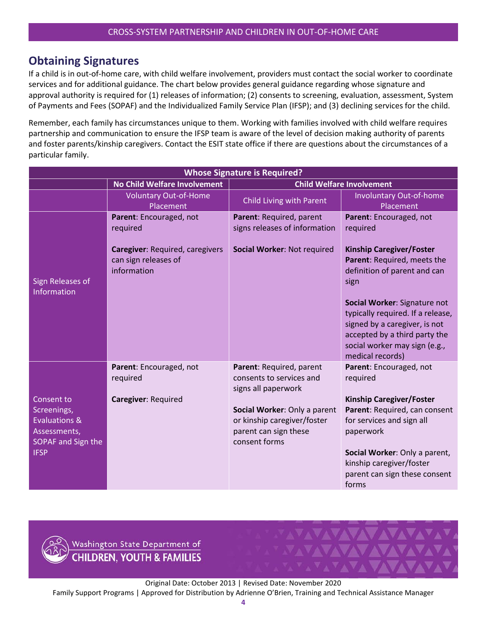### <span id="page-3-0"></span>**Obtaining Signatures**

If a child is in out-of-home care, with child welfare involvement, providers must contact the social worker to coordinate services and for additional guidance. The chart below provides general guidance regarding whose signature and approval authority is required for (1) releases of information; (2) consents to screening, evaluation, assessment, System of Payments and Fees (SOPAF) and the Individualized Family Service Plan (IFSP); and (3) declining services for the child.

Remember, each family has circumstances unique to them. Working with families involved with child welfare requires partnership and communication to ensure the IFSP team is aware of the level of decision making authority of parents and foster parents/kinship caregivers. Contact the ESIT state office if there are questions about the circumstances of a particular family.

| <b>Whose Signature is Required?</b>                                                                        |                                                                               |                                                                                                       |                                                                                                                                                                                          |  |  |
|------------------------------------------------------------------------------------------------------------|-------------------------------------------------------------------------------|-------------------------------------------------------------------------------------------------------|------------------------------------------------------------------------------------------------------------------------------------------------------------------------------------------|--|--|
|                                                                                                            | <b>No Child Welfare Involvement</b>                                           | <b>Child Welfare Involvement</b>                                                                      |                                                                                                                                                                                          |  |  |
|                                                                                                            | <b>Voluntary Out-of-Home</b><br>Placement                                     | Child Living with Parent                                                                              | <b>Involuntary Out-of-home</b><br>Placement                                                                                                                                              |  |  |
| Sign Releases of<br>Information                                                                            | Parent: Encouraged, not<br>required<br><b>Caregiver: Required, caregivers</b> | Parent: Required, parent<br>signs releases of information<br>Social Worker: Not required              | Parent: Encouraged, not<br>required<br><b>Kinship Caregiver/Foster</b>                                                                                                                   |  |  |
|                                                                                                            | can sign releases of<br>information                                           |                                                                                                       | Parent: Required, meets the<br>definition of parent and can<br>sign                                                                                                                      |  |  |
|                                                                                                            |                                                                               |                                                                                                       | Social Worker: Signature not<br>typically required. If a release,<br>signed by a caregiver, is not<br>accepted by a third party the<br>social worker may sign (e.g.,<br>medical records) |  |  |
|                                                                                                            | Parent: Encouraged, not<br>required                                           | Parent: Required, parent<br>consents to services and<br>signs all paperwork                           | Parent: Encouraged, not<br>required                                                                                                                                                      |  |  |
| Consent to<br>Screenings,<br><b>Evaluations &amp;</b><br>Assessments,<br>SOPAF and Sign the<br><b>IFSP</b> | Caregiver: Required                                                           | Social Worker: Only a parent<br>or kinship caregiver/foster<br>parent can sign these<br>consent forms | <b>Kinship Caregiver/Foster</b><br>Parent: Required, can consent<br>for services and sign all<br>paperwork<br>Social Worker: Only a parent,                                              |  |  |
|                                                                                                            |                                                                               |                                                                                                       | kinship caregiver/foster<br>parent can sign these consent<br>forms                                                                                                                       |  |  |



Original Date: October 2013 | Revised Date: November 2020 Family Support Programs | Approved for Distribution by Adrienne O'Brien, Training and Technical Assistance Manager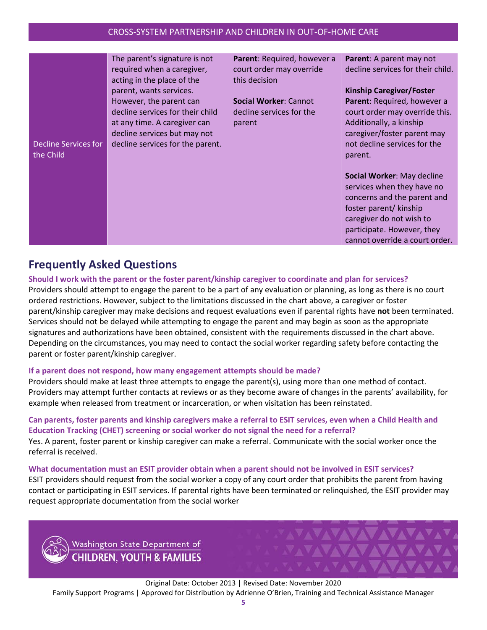| Decline Services for<br>the Child | The parent's signature is not<br>required when a caregiver,<br>acting in the place of the<br>parent, wants services.<br>However, the parent can<br>decline services for their child<br>at any time. A caregiver can<br>decline services but may not<br>decline services for the parent. | Parent: Required, however a<br>court order may override<br>this decision<br><b>Social Worker: Cannot</b><br>decline services for the<br>parent | Parent: A parent may not<br>decline services for their child.<br><b>Kinship Caregiver/Foster</b><br>Parent: Required, however a<br>court order may override this.                                             |
|-----------------------------------|-----------------------------------------------------------------------------------------------------------------------------------------------------------------------------------------------------------------------------------------------------------------------------------------|------------------------------------------------------------------------------------------------------------------------------------------------|---------------------------------------------------------------------------------------------------------------------------------------------------------------------------------------------------------------|
|                                   |                                                                                                                                                                                                                                                                                         |                                                                                                                                                | Additionally, a kinship<br>caregiver/foster parent may<br>not decline services for the<br>parent.                                                                                                             |
|                                   |                                                                                                                                                                                                                                                                                         |                                                                                                                                                | Social Worker: May decline<br>services when they have no<br>concerns and the parent and<br>foster parent/ kinship<br>caregiver do not wish to<br>participate. However, they<br>cannot override a court order. |

## <span id="page-4-0"></span>**Frequently Asked Questions**

**Should I work with the parent or the foster parent/kinship caregiver to coordinate and plan for services?** Providers should attempt to engage the parent to be a part of any evaluation or planning, as long as there is no court ordered restrictions. However, subject to the limitations discussed in the chart above, a caregiver or foster parent/kinship caregiver may make decisions and request evaluations even if parental rights have **not** been terminated. Services should not be delayed while attempting to engage the parent and may begin as soon as the appropriate signatures and authorizations have been obtained, consistent with the requirements discussed in the chart above. Depending on the circumstances, you may need to contact the social worker regarding safety before contacting the parent or foster parent/kinship caregiver.

#### **If a parent does not respond, how many engagement attempts should be made?**

Providers should make at least three attempts to engage the parent(s), using more than one method of contact. Providers may attempt further contacts at reviews or as they become aware of changes in the parents' availability, for example when released from treatment or incarceration, or when visitation has been reinstated.

### **Can parents, foster parents and kinship caregivers make a referral to ESIT services, even when a Child Health and Education Tracking (CHET) screening or social worker do not signal the need for a referral?**

Yes. A parent, foster parent or kinship caregiver can make a referral. Communicate with the social worker once the referral is received.

#### **What documentation must an ESIT provider obtain when a parent should not be involved in ESIT services?**

ESIT providers should request from the social worker a copy of any court order that prohibits the parent from having contact or participating in ESIT services. If parental rights have been terminated or relinquished, the ESIT provider may request appropriate documentation from the social worker



Original Date: October 2013 | Revised Date: November 2020 Family Support Programs | Approved for Distribution by Adrienne O'Brien, Training and Technical Assistance Manager

**YAYAVAVA**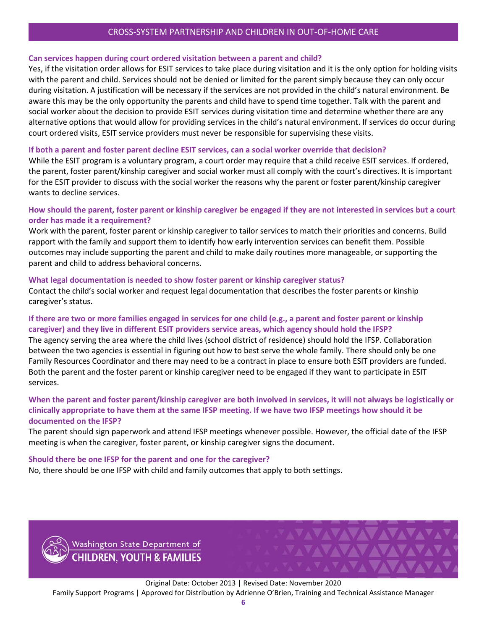#### CROSS-SYSTEM PARTNERSHIP AND CHILDREN IN OUT-OF-HOME CARE

#### **Can services happen during court ordered visitation between a parent and child?**

Yes, if the visitation order allows for ESIT services to take place during visitation and it is the only option for holding visits with the parent and child. Services should not be denied or limited for the parent simply because they can only occur during visitation. A justification will be necessary if the services are not provided in the child's natural environment. Be aware this may be the only opportunity the parents and child have to spend time together. Talk with the parent and social worker about the decision to provide ESIT services during visitation time and determine whether there are any alternative options that would allow for providing services in the child's natural environment. If services do occur during court ordered visits, ESIT service providers must never be responsible for supervising these visits.

#### **If both a parent and foster parent decline ESIT services, can a social worker override that decision?**

While the ESIT program is a voluntary program, a court order may require that a child receive ESIT services. If ordered, the parent, foster parent/kinship caregiver and social worker must all comply with the court's directives. It is important for the ESIT provider to discuss with the social worker the reasons why the parent or foster parent/kinship caregiver wants to decline services.

#### **How should the parent, foster parent or kinship caregiver be engaged if they are not interested in services but a court order has made it a requirement?**

Work with the parent, foster parent or kinship caregiver to tailor services to match their priorities and concerns. Build rapport with the family and support them to identify how early intervention services can benefit them. Possible outcomes may include supporting the parent and child to make daily routines more manageable, or supporting the parent and child to address behavioral concerns.

#### **What legal documentation is needed to show foster parent or kinship caregiver status?**

Contact the child's social worker and request legal documentation that describes the foster parents or kinship caregiver's status.

#### **If there are two or more families engaged in services for one child (e.g., a parent and foster parent or kinship caregiver) and they live in different ESIT providers service areas, which agency should hold the IFSP?**

The agency serving the area where the child lives (school district of residence) should hold the IFSP. Collaboration between the two agencies is essential in figuring out how to best serve the whole family. There should only be one Family Resources Coordinator and there may need to be a contract in place to ensure both ESIT providers are funded. Both the parent and the foster parent or kinship caregiver need to be engaged if they want to participate in ESIT services.

#### **When the parent and foster parent/kinship caregiver are both involved in services, it will not always be logistically or clinically appropriate to have them at the same IFSP meeting. If we have two IFSP meetings how should it be documented on the IFSP?**

The parent should sign paperwork and attend IFSP meetings whenever possible. However, the official date of the IFSP meeting is when the caregiver, foster parent, or kinship caregiver signs the document.

#### **Should there be one IFSP for the parent and one for the caregiver?**

No, there should be one IFSP with child and family outcomes that apply to both settings.



Original Date: October 2013 | Revised Date: November 2020 Family Support Programs | Approved for Distribution by Adrienne O'Brien, Training and Technical Assistance Manager

**AVAVAVAVAVAVAV** 

**VAVAVAVAV**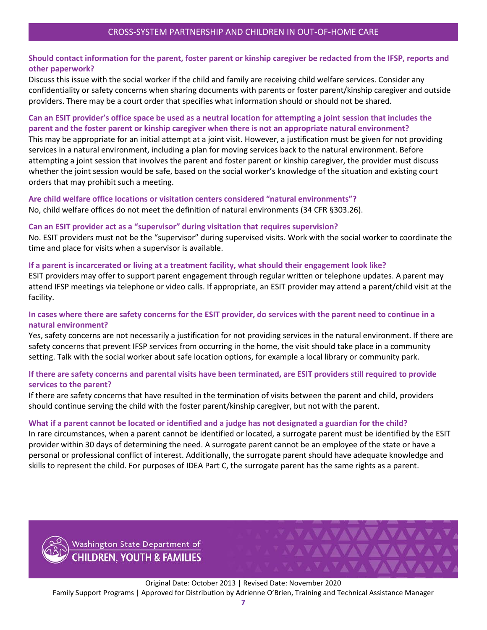#### **Should contact information for the parent, foster parent or kinship caregiver be redacted from the IFSP, reports and other paperwork?**

Discuss this issue with the social worker if the child and family are receiving child welfare services. Consider any confidentiality or safety concerns when sharing documents with parents or foster parent/kinship caregiver and outside providers. There may be a court order that specifies what information should or should not be shared.

#### **Can an ESIT provider's office space be used as a neutral location for attempting a joint session that includes the parent and the foster parent or kinship caregiver when there is not an appropriate natural environment?**

This may be appropriate for an initial attempt at a joint visit. However, a justification must be given for not providing services in a natural environment, including a plan for moving services back to the natural environment. Before attempting a joint session that involves the parent and foster parent or kinship caregiver, the provider must discuss whether the joint session would be safe, based on the social worker's knowledge of the situation and existing court orders that may prohibit such a meeting.

#### **Are child welfare office locations or visitation centers considered "natural environments"?** No, child welfare offices do not meet the definition of natural environments (34 CFR §303.26).

#### **Can an ESIT provider act as a "supervisor" during visitation that requires supervision?**

No. ESIT providers must not be the "supervisor" during supervised visits. Work with the social worker to coordinate the time and place for visits when a supervisor is available.

#### **If a parent is incarcerated or living at a treatment facility, what should their engagement look like?**

ESIT providers may offer to support parent engagement through regular written or telephone updates. A parent may attend IFSP meetings via telephone or video calls. If appropriate, an ESIT provider may attend a parent/child visit at the facility.

#### **In cases where there are safety concerns for the ESIT provider, do services with the parent need to continue in a natural environment?**

Yes, safety concerns are not necessarily a justification for not providing services in the natural environment. If there are safety concerns that prevent IFSP services from occurring in the home, the visit should take place in a community setting. Talk with the social worker about safe location options, for example a local library or community park.

#### **If there are safety concerns and parental visits have been terminated, are ESIT providers still required to provide services to the parent?**

If there are safety concerns that have resulted in the termination of visits between the parent and child, providers should continue serving the child with the foster parent/kinship caregiver, but not with the parent.

#### **What if a parent cannot be located or identified and a judge has not designated a guardian for the child?**

In rare circumstances, when a parent cannot be identified or located, a surrogate parent must be identified by the ESIT provider within 30 days of determining the need. A surrogate parent cannot be an employee of the state or have a personal or professional conflict of interest. Additionally, the surrogate parent should have adequate knowledge and skills to represent the child. For purposes of IDEA Part C, the surrogate parent has the same rights as a parent.



Washington State Department of **CHILDREN, YOUTH & FAMILIES** 

Original Date: October 2013 | Revised Date: November 2020 Family Support Programs | Approved for Distribution by Adrienne O'Brien, Training and Technical Assistance Manager

WAAAA